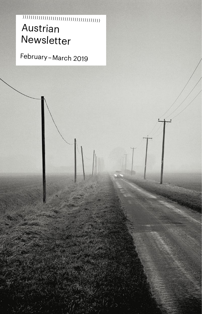# Austrian Newsletter (((((((((((((((((((((((((((((((((((((((

February – March 2019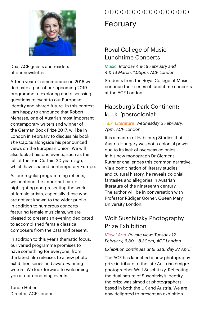

Dear ACF guests and readers of our newsletter,

After a year of remembrance in 2018 we dedicate a part of our upcoming 2019 programme to exploring and discussing questions relevant to our European identity and shared future. In this context I am happy to announce that Robert Menasse, one of Austria's most important contemporary writers and winner of the German Book Prize 2017, will be in London in February to discuss his book *The Capital* alongside his pronounced views on the European Union. We will also look at historic events, such as the fall of the Iron Curtain 30 years ago, which have shaped contemporary Europe.

As our regular programming reflects, we continue the important task of highlighting and presenting the work of female artists, especially those who are not yet known to the wider public. In addition to numerous concerts featuring female musicians, we are pleased to present an evening dedicated to accomplished female classical composers from the past and present.

In addition to this year's thematic focus, our varied programme promises to have something for everyone, from the latest film releases to a new photo exhibition series and award-winning writers. We look forward to welcoming you at our upcoming events.

Tünde Huber Director, ACF London

# (((((((((((((((((((((((((((((((((((

# February

## Royal College of Music Lunchtime Concerts

*Music Monday 4 & 18 February and 4 & 18 March, 1.05pm, ACF London*

Students from the Royal College of Music continue their series of lunchtime concerts at the ACF London.

## Habsburg's Dark Continent: k.u.k. 'postcolonial'

#### *Talk Literature Wednesday 6 February, 7pm, ACF London*

It is a mantra of Habsburg Studies that Austria-Hungary was not a colonial power due to its lack of overseas colonies. In his new monograph Dr Clemens Ruthner challenges this common narrative. Via a combination of literary studies and cultural history, he reveals colonial fantasies and allegories in Austrian literature of the nineteenth century. The author will be in conversation with Professor Rüdiger Görner, Queen Mary University London.

## Wolf Suschitzky Photography Prize Exhibition

*Visual Arts Private view: Tuesday 12 February, 6.30 – 8.30pm, ACF London*

#### *Exhibition continues until Saturday 27 April*

The ACF has launched a new photography prize in tribute to the late Austrian émigré photographer Wolf Suschitzky. Reflecting the dual nature of Suschitzky's identity, the prize was aimed at photographers based in both the UK and Austria. We are now delighted to present an exhibition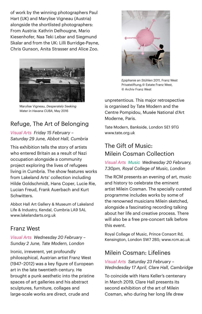of work by the winning photographers Paul Hart (UK) and Marylise Vigneau (Austria) alongside the shortlisted photographers: From Austria: Kathrin Delhougne, Mario Kiesenhofer, Naa Teki Lebar and Siegmund Skalar and from the UK: Lilli Burridge-Payne, Chris Gunson, Anita Strasser and Alice Zoo.



Marylise Vigneau, *Desperately Seeking Water in Havana CUBA*, May 2016

## Refuge, The Art of Belonging

*Visual Arts Friday 15 February – Saturday 29 June, Abbot Hall, Cumbria*

This exhibition tells the story of artists who entered Britain as a result of Nazi occupation alongside a community project exploring the lives of refugees living in Cumbria. The show features works from Lakeland Arts' collection including Hilde Goldschmidt, Hans Coper, Lucie Rie, Lucian Freud, Frank Auerbach and Kurt Schwitters.

Abbot Hall Art Gallery & Museum of Lakeland Life & Industry, Kendal, Cumbria LA9 5AL [www.lakelandarts.org.uk](http://www.lakelandarts.org.uk) 

#### Franz West

#### *Visual Arts Wednesday 20 February – Sunday 2 June, Tate Modern, London*

Ironic, irreverent, yet profoundly philosophical, Austrian artist Franz West (1947–2012) was a key figure of European art in the late twentieth century. He brought a punk aesthetic into the pristine spaces of art galleries and his abstract sculptures, furniture, collages and large-scale works are direct, crude and



*Epiphanie an Stühlen* 2011, Franz West Privatstiftung,© Estate Franz West, © Archiv Franz West

unpretentious. This major retrospective is organised by Tate Modern and the Centre Pompidou, Musée National d'Art Moderne, Paris.

Tate Modern, Bankside, London SE1 9TG [www.tate.org.uk](http://www.tate.org.uk) 

## The Gift of Music: Milein Cosman Collection

*Visual Arts Music Wednesday 20 February, 7.30pm, Royal College of Music, London*

The RCM presents an evening of art, music and history to celebrate the eminent artist Milein Cosman. The specially curated programme includes works by some of the renowned musicians Milein sketched, alongside a fascinating recording talking about her life and creative process. There will also be a free pre-concert talk before this event.

Royal College of Music, Prince Consort Rd, Kensington, London SW7 2BS; www.rcm.ac.uk

## Milein Cosman: Lifelines

#### *Visual Arts Saturday 23 February – Wedndesday 17 April, Clare Hall, Cambridge*

To coincide with Hans Keller's centenary in March 2019, Clare Hall presents its second exhibition of the art of Milein Cosman, who during her long life drew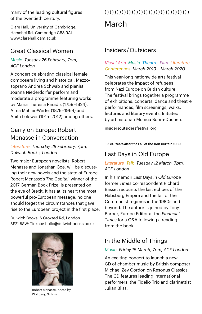many of the leading cultural figures of the twentieth century.

Clare Hall, University of Cambridge, Herschel Rd, Cambridge CB3 9AL [www.clarehall.cam.ac.uk](http://www.clarehall.cam.ac.uk) 

#### Great Classical Women

#### *Music Tuesday 26 February, 7pm, ACF London*

A concert celebrating classical female composers living and historical. Mezzosoprano Andrea Schwab and pianist Joanna Niederdorfer perform and moderate a programme featuring works by Maria Theresia Paradis (1759–1824), Alma Mahler-Werfel (1879 –1964) and Anita Lelewer (1915–2012) among others.

### Carry on Europe: Robert Menasse in Conversation

#### *Literature Thursday 28 February, 7pm, Dulwich Books, London*

Two major European novelists, Robert Menasse and Jonathan Coe, will be discussing their new novels and the state of Europe. Robert Menasse's *The Capital*, winner of the 2017 German Book Prize, is presented on the eve of Brexit. It has at its heart the most powerful pro-European message: no one should forget the circumstances that gave rise to the European project in the first place.

Dulwich Books, 6 Croxted Rd, London SE21 8SW; Tickets: hello@dulwichbooks.co.uk



Julian Bliss. Robert Menasse, photo by Wolfgang Schmidt

# March (((((((((((((((((((((((((((((((((((

#### Insiders / Outsiders

#### *Visual Arts Music Theatre Film Literature Conferences March 2019 – March 2020*

This year-long nationwide arts festival celebrates the impact of refugees from Nazi Europe on British culture. The festival brings together a programme of exhibitions, concerts, dance and theatre performances, film screenings, walks, lectures and literary events. Initiated by art historian Monica Bohm-Duchen.

[insidersoutsidersfestival.org](https://insidersoutsidersfestival.org/)

#### $\rightarrow$  30 Years after the Fall of the Iron Curtain 1989

#### Last Days in Old Europe

#### *Literature Talk Tuesday 12 March, 7pm, ACF London*

In his memoir *Last Day*s *in Old Europe* former *Times* correspondent Richard Basset recounts the last echoes of the Habsburg Empire and the fall of the Communist regimes in the 1980s and beyond. The author is joined by Tony Barber, Europe Editor at the *Financial Times* for a Q&A following a reading from the book.

## In the Middle of Things

#### *Music Friday 15 March, 7pm, ACF London*

An exciting concert to launch a new CD of chamber music by British composer Michael Zev Gordon on Resonus Classics. The CD features leading international performers, the Fidelio Trio and clarinettist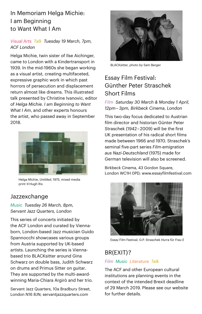## In Memoriam Helga Michie: I am Beginning to Want What I Am

#### *Visual Arts Talk Tuesday 19 March, 7pm, ACF London*

Helga Michie, twin sister of Ilse Aichinger, came to London with a Kindertransport in 1939. In the mid-1960s she began working as a visual artist, creating multifaceted, expressive graphic work in which past horrors of persecution and displacement return almost like dreams. This illustrated talk presented by Christine Ivanovic, editor of *Helga Michie. I am Beginning to Want What I Am*, and other experts honours the artist, who passed away in September 2018.



Helga Michie, *Untitled*, 1975, mixed media print © Hugh Rix

#### Jazzexchange

*Music Tuesday 26 March, 8pm, Servant Jazz Quarters, London*

This series of concerts initiated by the ACF London and curated by Viennaborn, London-based Jazz musician Guido Spannocchi showcases various groups from Austria supported by UK-based artists. Launching the series is Viennabased trio BLACKsitter around Gina Schwarz on double bass, Judith Schwarz on drums and Primus Sitter on guitar. They are supported by the multi-awardwinning Maria-Chiara Argirò and her trio.

Servant Jazz Quarters, 10a Bradbury Street, London N16 8JN; [servantjazzquarters.com](http://servantjazzquarters.com/)



BLACKsitter, photo by Sam Berger

## Essay Film Festival: Günther Peter Straschek Short Films

*Film Saturday 30 March & Monday 1 April, 12pm –  3pm, Birkbeck Cinema, London*

This two-day focus dedicated to Austrian film director and historian Günter Peter Straschek (1942 – 2009) will be the first UK presentation of his radical short films made between 1966 and 1970. Straschek's seminal five-part series *Film-emigration aus Nazi-Deutschland* (1975) made for German television will also be screened.

Birkbeck Cinema, 43 Gordon Square, London WC1H 0PD; [www.essayfilmfestival.com](http://www.essayfilmfestival.com/)



Essay Film Festival, G.P. Straschek *Hurra für Frau E*

## BR(EXIT) ?

#### *Film Music Literature Talk*

The ACF and other European cultural institutions are planning events in the context of the intended Brexit deadline of 29 March 2019. Please see our website for further details.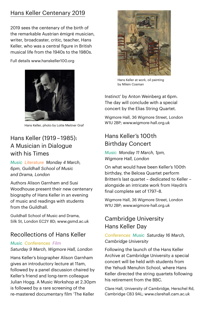## Hans Keller Centenary 2019

2019 sees the centenary of the birth of the remarkable Austrian émigré musician, writer, broadcaster, critic, teacher, Hans Keller, who was a central figure in British musical life from the 1940s to the 1980s.

Full details www.hanskeller100.org



Hans Keller, photo by Lotte Meitner Graf

## Hans Keller (1919 – 1985): A Musician in Dialogue with his Times

*Music Literature Monday 4 March, 6pm, Guildhall School of Music and Drama, London*

Authors Alison Garnham and Susi Woodhouse present their new centenary biography of Hans Keller in an evening of music and readings with students from the Guildhall.

Guildhall School of Music and Drama, Silk St, London EC2Y 8D; [www.gsmd.ac.uk](http://www.gsmd.ac.uk)

## Recollections of Hans Keller

#### *Music Conferences Film*

*Saturday 9 March, Wigmore Hall, London* 

Hans Keller's biographer Alison Garnham gives an introductory lecture at 11am, followed by a panel discussion chaired by Keller's friend and long-term colleague Julian Hogg. A Music Workshop at 2.30pm is followed by a rare screening of the re-mastered documentary film 'The Keller



Hans Keller at work, oil painting by Milein Cosman

Instinct' by Anton Weinberg at 6pm. The day will conclude with a special concert by the Elias String Quartet.

Wigmore Hall, 36 Wigmore Street, London W1U 2BP; www.wigmore-hall.org.uk

## Hans Keller's 100 th Birthday Concert

*Music Monday 11 March, 1pm, Wigmore Hall, London*

On what would have been Keller's 100th birthday, the Belcea Quartet perform Britten's last quartet – dedicated to Keller – alongside an intricate work from Haydn's final complete set of 1797–8.

Wigmore Hall, 36 Wigmore Street, London W1U 2BP; [www.wigmore-hall.org.uk](http://www.wigmore-hall.org.uk)

## Cambridge University Hans Keller Day

#### *Conferences Music Saturday 16 March, Cambridge University*

Following the launch of the Hans Keller Archive at Cambridge University a special concert will be held with students from the Yehudi Menuhin School, where Hans Keller directed the string quartets following his retirement from the BBC.

Clare Hall, University of Cambridge, Herschel Rd, Cambridge CB3 9AL; [www.clarehall.cam.ac.uk](http://www.clarehall.cam.ac.uk)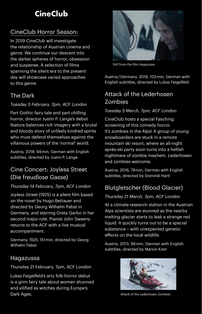# **CineClub**

## CineClub Horror Season:

In 2019 CineClub will investigate the relationship of Austrian cinema and genre. We continue our descent into the darker spheres of horror, obsession and suspense. A selection of films spanning the silent era to the present day will showcase varied approaches to this genre.

## The Dark

#### *Tuesday 5 February, 7pm, ACF London*

Part Gothic fairy tale and part chilling horror, director Justin P. Lange's debut feature balances rich imagery with a brutal and bloody story of unlikely kindred spirits who must defend themselves against the villainous powers of the 'normal' world.

Austria, 2018, 94 min, German with English subtitles, directed by Justin P. Lange

## Cine Concert: Joyless Street (Die freudlose Gasse)

#### *Thursday 14 February, 7pm, ACF London*

*Joyless Street* (1925) is a silent film based on the novel by Hugo Bettauer and directed by Georg Wilhelm Pabst in Germany, and starring Greta Garbo in her second major role. Pianist John Sweeny returns to the ACF with a live musical accompaniment.

Germany, 1925, 151 min, directed by Georg Wilhelm Pabst

## Hagazussa

Thursday 21 February, 7pm, ACF London

Lukas Feigelfeld's arty folk-horror debut is a grim fairy tale about women shunned and vilified as witches during Europe's Dark Ages.



Still from the film *Hagazussa*

Austria / Germany, 2018, 102 min, German with English subtitles, directed by Lukas Feigelfeld

## Attack of the Lederhosen Zombies

#### *Tuesday 5 March, 7pm, ACF London*

CineClub hosts a special Fasching screening of this comedy horror. It's zombies in the Alps! A group of young snowboarders are stuck in a remote mountain ski resort, where an all-night aprés-ski party soon turns into a hellish nightmare of zombie mayhem. Lederhosen and zombies welcome.

Austria, 2016, 78 min, German with English subtitles, directed by Dominik Hartl

## Blutgletscher (Blood Glacier)

#### *Thursday 21 March, 7pm, ACF London*

At a climate research station in the Austrian Alps scientists are stunned as the nearby melting glacier starts to leak a strange red liquid. It quickly turns out to be a special substance – with unexpected genetic effects on the local wildlife.

Austria, 2013, 96 min, German with English subtitles, directed by Marvin Kren



*Attack of the Lederhosen Zombies*